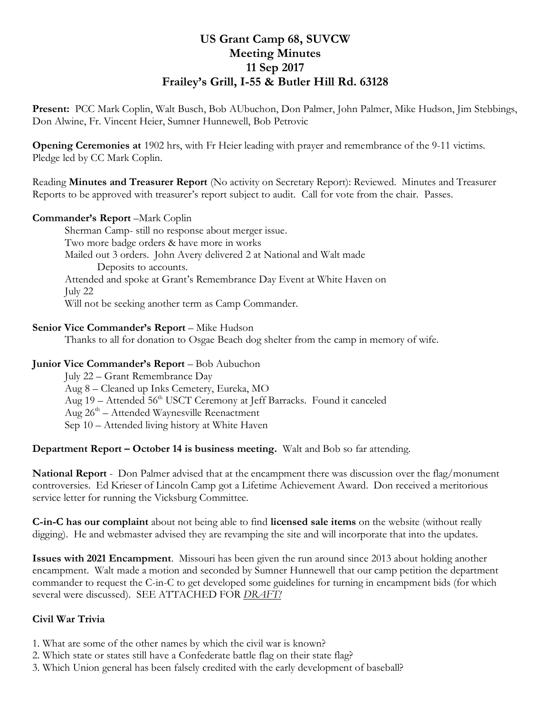# **US Grant Camp 68, SUVCW Meeting Minutes 11 Sep 2017 Frailey's Grill, I-55 & Butler Hill Rd. 63128**

**Present:** PCC Mark Coplin, Walt Busch, Bob AUbuchon, Don Palmer, John Palmer, Mike Hudson, Jim Stebbings, Don Alwine, Fr. Vincent Heier, Sumner Hunnewell, Bob Petrovic

**Opening Ceremonies at** 1902 hrs, with Fr Heier leading with prayer and remembrance of the 9-11 victims. Pledge led by CC Mark Coplin.

Reading **Minutes and Treasurer Report** (No activity on Secretary Report): Reviewed. Minutes and Treasurer Reports to be approved with treasurer's report subject to audit. Call for vote from the chair. Passes.

# **Commander's Report** –Mark Coplin

 Sherman Camp- still no response about merger issue. Two more badge orders & have more in works Mailed out 3 orders. John Avery delivered 2 at National and Walt made Deposits to accounts. Attended and spoke at Grant's Remembrance Day Event at White Haven on July 22 Will not be seeking another term as Camp Commander.

# **Senior Vice Commander's Report** – Mike Hudson

Thanks to all for donation to Osgae Beach dog shelter from the camp in memory of wife.

#### **Junior Vice Commander's Report** – Bob Aubuchon

 July 22 – Grant Remembrance Day Aug 8 – Cleaned up Inks Cemetery, Eureka, MO Aug 19 – Attended 56<sup>th</sup> USCT Ceremony at Jeff Barracks. Found it canceled Aug 26<sup>th</sup> – Attended Waynesville Reenactment Sep 10 – Attended living history at White Haven

#### **Department Report – October 14 is business meeting.** Walt and Bob so far attending.

**National Report** - Don Palmer advised that at the encampment there was discussion over the flag/monument controversies. Ed Krieser of Lincoln Camp got a Lifetime Achievement Award. Don received a meritorious service letter for running the Vicksburg Committee.

**C-in-C has our complaint** about not being able to find **licensed sale items** on the website (without really digging). He and webmaster advised they are revamping the site and will incorporate that into the updates.

**Issues with 2021 Encampment**. Missouri has been given the run around since 2013 about holding another encampment. Walt made a motion and seconded by Sumner Hunnewell that our camp petition the department commander to request the C-in-C to get developed some guidelines for turning in encampment bids (for which several were discussed). SEE ATTACHED FOR *DRAFT!*

# **Civil War Trivia**

- 1. What are some of the other names by which the civil war is known?
- 2. Which state or states still have a Confederate battle flag on their state flag?
- 3. Which Union general has been falsely credited with the early development of baseball?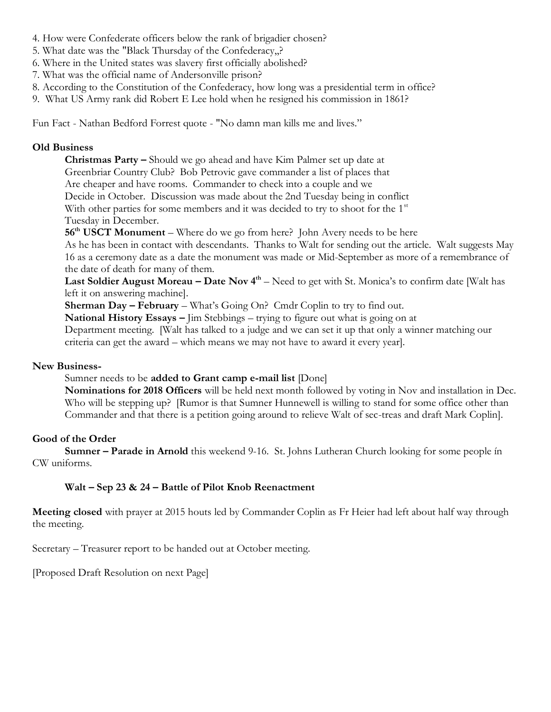- 4. How were Confederate officers below the rank of brigadier chosen?
- 5. What date was the "Black Thursday of the Confederacy,,?
- 6. Where in the United states was slavery first officially abolished?
- 7. What was the official name of Andersonville prison?
- 8. According to the Constitution of the Confederacy, how long was a presidential term in office?
- 9. What US Army rank did Robert E Lee hold when he resigned his commission in 1861?

Fun Fact - Nathan Bedford Forrest quote - "No damn man kills me and lives."

#### **Old Business**

**Christmas Party –** Should we go ahead and have Kim Palmer set up date at Greenbriar Country Club? Bob Petrovic gave commander a list of places that Are cheaper and have rooms. Commander to check into a couple and we Decide in October. Discussion was made about the 2nd Tuesday being in conflict With other parties for some members and it was decided to try to shoot for the  $1<sup>st</sup>$ Tuesday in December.

**56th USCT Monument** – Where do we go from here? John Avery needs to be here

As he has been in contact with descendants. Thanks to Walt for sending out the article. Walt suggests May 16 as a ceremony date as a date the monument was made or Mid-September as more of a remembrance of the date of death for many of them.

Last Soldier August Moreau – Date Nov 4<sup>th</sup> – Need to get with St. Monica's to confirm date [Walt has left it on answering machine].

**Sherman Day – February** – What's Going On? Cmdr Coplin to try to find out.

**National History Essays –** Jim Stebbings – trying to figure out what is going on at

Department meeting. [Walt has talked to a judge and we can set it up that only a winner matching our criteria can get the award – which means we may not have to award it every year].

#### **New Business-**

Sumner needs to be **added to Grant camp e-mail list** [Done]

**Nominations for 2018 Officers** will be held next month followed by voting in Nov and installation in Dec. Who will be stepping up? [Rumor is that Sumner Hunnewell is willing to stand for some office other than Commander and that there is a petition going around to relieve Walt of sec-treas and draft Mark Coplin].

#### **Good of the Order**

**Sumner – Parade in Arnold** this weekend 9-16. St. Johns Lutheran Church looking for some people in CW uniforms.

#### **Walt – Sep 23 & 24 – Battle of Pilot Knob Reenactment**

**Meeting closed** with prayer at 2015 houts led by Commander Coplin as Fr Heier had left about half way through the meeting.

Secretary – Treasurer report to be handed out at October meeting.

[Proposed Draft Resolution on next Page]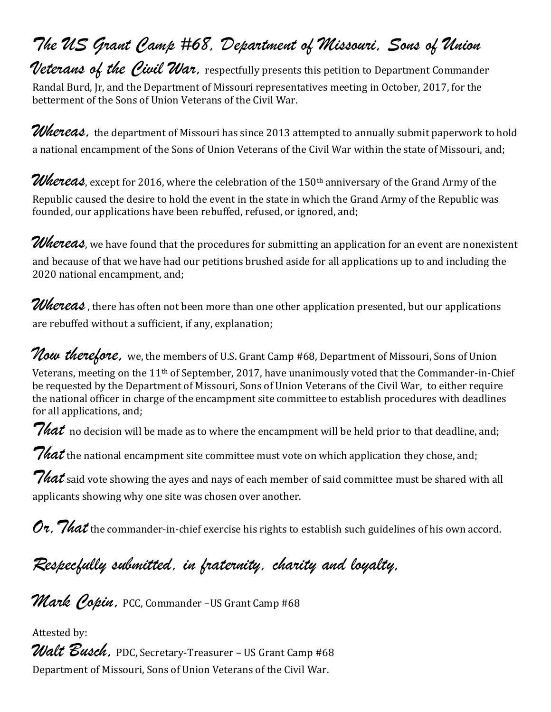# The US Grant Camp #68, Department of Missouri, Sons of Union

Veterans of the Civil War, respectfully presents this petition to Department Commander Randal Burd, Jr, and the Department of Missouri representatives meeting in October, 2017, for the betterment of the Sons of Union Veterans of the Civil War.

Whereas, the department of Missouri has since 2013 attempted to annually submit paperwork to hold a national encampment of the Sons of Union Veterans of the Civil War within the state of Missouri, and;

Whereas, except for 2016, where the celebration of the 150th anniversary of the Grand Army of the Republic caused the desire to hold the event in the state in which the Grand Army of the Republic was founded, our applications have been rebuffed, refused, or ignored, and;

Whereas, we have found that the procedures for submitting an application for an event are nonexistent and because of that we have had our petitions brushed aside for all applications up to and including the 2020 national encampment, and;

Whereas, there has often not been more than one other application presented, but our applications are rebuffed without a sufficient, if any, explanation;

Now therefore, we, the members of U.S. Grant Camp #68, Department of Missouri, Sons of Union Veterans, meeting on the 11th of September, 2017, have unanimously voted that the Commander-in-Chief be requested by the Department of Missouri, Sons of Union Veterans of the Civil War, to either require the national officer in charge of the encampment site committee to establish procedures with deadlines for all applications, and;

 $\it 7$  hat no decision will be made as to where the encampment will be held prior to that deadline, and;

*That* the national encampment site committee must vote on which application they chose, and;

 $\it 7$ hat said vote showing the ayes and nays of each member of said committee must be shared with all applicants showing why one site was chosen over another.

 $Ov$ ,  $7$ hat the commander-in-chief exercise his rights to establish such guidelines of his own accord.

Respecfully submitted, in fraternity, charity and loyalty,

Mark Copin, PCC, Commander -US Grant Camp #68

Attested by:

Walt Busch, PDC, Secretary-Treasurer – US Grant Camp #68 Department of Missouri, Sons of Union Veterans of the Civil War.